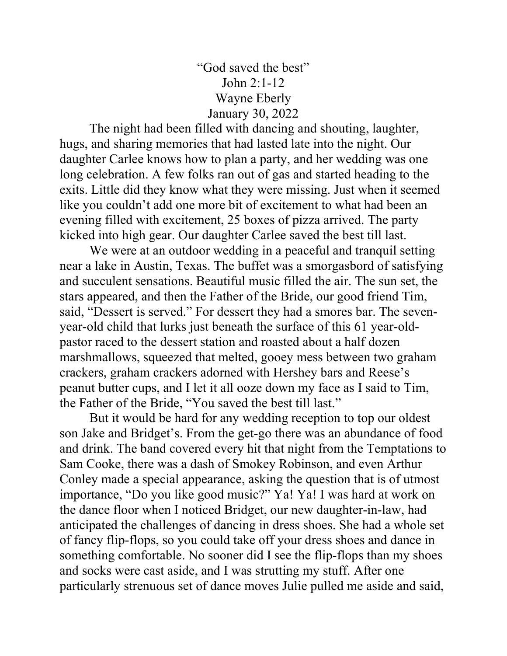## "God saved the best" John 2:1-12 Wayne Eberly January 30, 2022

 The night had been filled with dancing and shouting, laughter, hugs, and sharing memories that had lasted late into the night. Our daughter Carlee knows how to plan a party, and her wedding was one long celebration. A few folks ran out of gas and started heading to the exits. Little did they know what they were missing. Just when it seemed like you couldn't add one more bit of excitement to what had been an evening filled with excitement, 25 boxes of pizza arrived. The party kicked into high gear. Our daughter Carlee saved the best till last.

 We were at an outdoor wedding in a peaceful and tranquil setting near a lake in Austin, Texas. The buffet was a smorgasbord of satisfying and succulent sensations. Beautiful music filled the air. The sun set, the stars appeared, and then the Father of the Bride, our good friend Tim, said, "Dessert is served." For dessert they had a smores bar. The sevenyear-old child that lurks just beneath the surface of this 61 year-oldpastor raced to the dessert station and roasted about a half dozen marshmallows, squeezed that melted, gooey mess between two graham crackers, graham crackers adorned with Hershey bars and Reese's peanut butter cups, and I let it all ooze down my face as I said to Tim, the Father of the Bride, "You saved the best till last."

 But it would be hard for any wedding reception to top our oldest son Jake and Bridget's. From the get-go there was an abundance of food and drink. The band covered every hit that night from the Temptations to Sam Cooke, there was a dash of Smokey Robinson, and even Arthur Conley made a special appearance, asking the question that is of utmost importance, "Do you like good music?" Ya! Ya! I was hard at work on the dance floor when I noticed Bridget, our new daughter-in-law, had anticipated the challenges of dancing in dress shoes. She had a whole set of fancy flip-flops, so you could take off your dress shoes and dance in something comfortable. No sooner did I see the flip-flops than my shoes and socks were cast aside, and I was strutting my stuff. After one particularly strenuous set of dance moves Julie pulled me aside and said,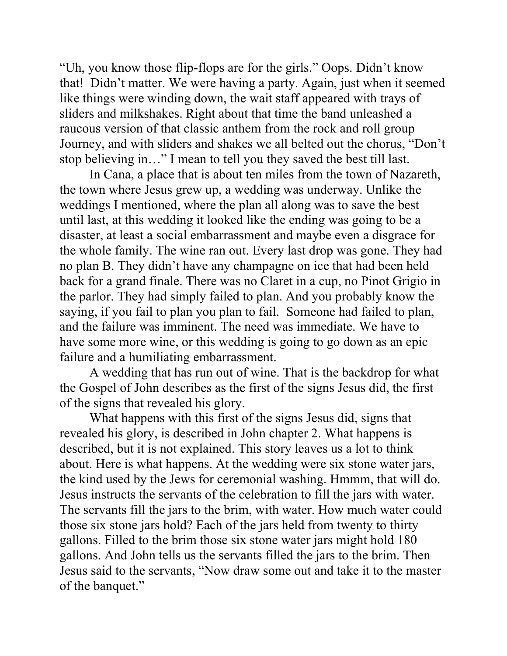"Uh, you know those flip-flops are for the girls." Oops. Didn't know that! Didn't matter. We were having a party. Again, just when it seemed like things were winding down, the wait staff appeared with trays of sliders and milkshakes. Right about that time the band unleashed a raucous version of that classic anthem from the rock and roll group Journey, and with sliders and shakes we all belted out the chorus, "Don't stop believing in…" I mean to tell you they saved the best till last.

 In Cana, a place that is about ten miles from the town of Nazareth, the town where Jesus grew up, a wedding was underway. Unlike the weddings I mentioned, where the plan all along was to save the best until last, at this wedding it looked like the ending was going to be a disaster, at least a social embarrassment and maybe even a disgrace for the whole family. The wine ran out. Every last drop was gone. They had no plan B. They didn't have any champagne on ice that had been held back for a grand finale. There was no Claret in a cup, no Pinot Grigio in the parlor. They had simply failed to plan. And you probably know the saying, if you fail to plan you plan to fail. Someone had failed to plan, and the failure was imminent. The need was immediate. We have to have some more wine, or this wedding is going to go down as an epic failure and a humiliating embarrassment.

 A wedding that has run out of wine. That is the backdrop for what the Gospel of John describes as the first of the signs Jesus did, the first of the signs that revealed his glory.

 What happens with this first of the signs Jesus did, signs that revealed his glory, is described in John chapter 2. What happens is described, but it is not explained. This story leaves us a lot to think about. Here is what happens. At the wedding were six stone water jars, the kind used by the Jews for ceremonial washing. Hmmm, that will do. Jesus instructs the servants of the celebration to fill the jars with water. The servants fill the jars to the brim, with water. How much water could those six stone jars hold? Each of the jars held from twenty to thirty gallons. Filled to the brim those six stone water jars might hold 180 gallons. And John tells us the servants filled the jars to the brim. Then Jesus said to the servants, "Now draw some out and take it to the master of the banquet."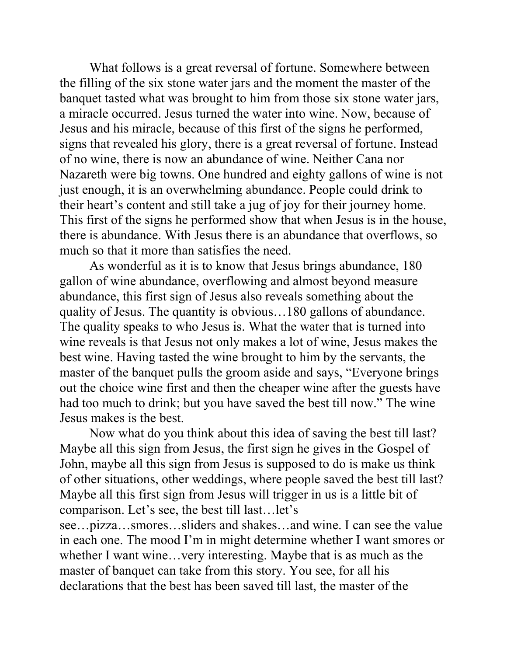What follows is a great reversal of fortune. Somewhere between the filling of the six stone water jars and the moment the master of the banquet tasted what was brought to him from those six stone water jars, a miracle occurred. Jesus turned the water into wine. Now, because of Jesus and his miracle, because of this first of the signs he performed, signs that revealed his glory, there is a great reversal of fortune. Instead of no wine, there is now an abundance of wine. Neither Cana nor Nazareth were big towns. One hundred and eighty gallons of wine is not just enough, it is an overwhelming abundance. People could drink to their heart's content and still take a jug of joy for their journey home. This first of the signs he performed show that when Jesus is in the house, there is abundance. With Jesus there is an abundance that overflows, so much so that it more than satisfies the need.

 As wonderful as it is to know that Jesus brings abundance, 180 gallon of wine abundance, overflowing and almost beyond measure abundance, this first sign of Jesus also reveals something about the quality of Jesus. The quantity is obvious…180 gallons of abundance. The quality speaks to who Jesus is. What the water that is turned into wine reveals is that Jesus not only makes a lot of wine, Jesus makes the best wine. Having tasted the wine brought to him by the servants, the master of the banquet pulls the groom aside and says, "Everyone brings out the choice wine first and then the cheaper wine after the guests have had too much to drink; but you have saved the best till now." The wine Jesus makes is the best.

 Now what do you think about this idea of saving the best till last? Maybe all this sign from Jesus, the first sign he gives in the Gospel of John, maybe all this sign from Jesus is supposed to do is make us think of other situations, other weddings, where people saved the best till last? Maybe all this first sign from Jesus will trigger in us is a little bit of comparison. Let's see, the best till last…let's

see…pizza…smores…sliders and shakes…and wine. I can see the value in each one. The mood I'm in might determine whether I want smores or whether I want wine…very interesting. Maybe that is as much as the master of banquet can take from this story. You see, for all his declarations that the best has been saved till last, the master of the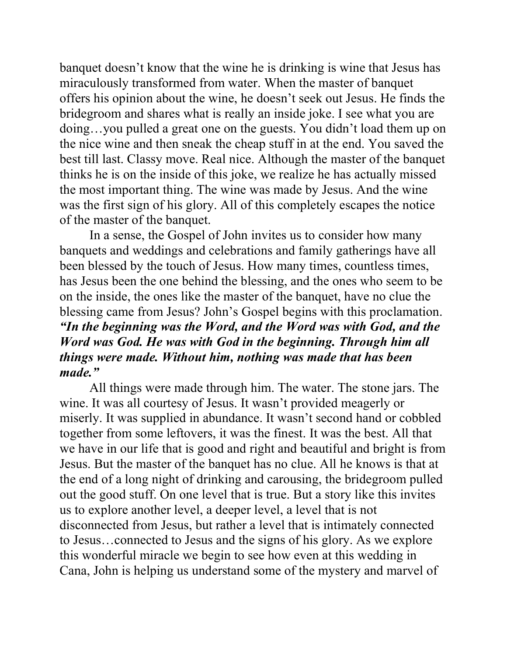banquet doesn't know that the wine he is drinking is wine that Jesus has miraculously transformed from water. When the master of banquet offers his opinion about the wine, he doesn't seek out Jesus. He finds the bridegroom and shares what is really an inside joke. I see what you are doing…you pulled a great one on the guests. You didn't load them up on the nice wine and then sneak the cheap stuff in at the end. You saved the best till last. Classy move. Real nice. Although the master of the banquet thinks he is on the inside of this joke, we realize he has actually missed the most important thing. The wine was made by Jesus. And the wine was the first sign of his glory. All of this completely escapes the notice of the master of the banquet.

 In a sense, the Gospel of John invites us to consider how many banquets and weddings and celebrations and family gatherings have all been blessed by the touch of Jesus. How many times, countless times, has Jesus been the one behind the blessing, and the ones who seem to be on the inside, the ones like the master of the banquet, have no clue the blessing came from Jesus? John's Gospel begins with this proclamation. "In the beginning was the Word, and the Word was with God, and the Word was God. He was with God in the beginning. Through him all things were made. Without him, nothing was made that has been made."

All things were made through him. The water. The stone jars. The wine. It was all courtesy of Jesus. It wasn't provided meagerly or miserly. It was supplied in abundance. It wasn't second hand or cobbled together from some leftovers, it was the finest. It was the best. All that we have in our life that is good and right and beautiful and bright is from Jesus. But the master of the banquet has no clue. All he knows is that at the end of a long night of drinking and carousing, the bridegroom pulled out the good stuff. On one level that is true. But a story like this invites us to explore another level, a deeper level, a level that is not disconnected from Jesus, but rather a level that is intimately connected to Jesus…connected to Jesus and the signs of his glory. As we explore this wonderful miracle we begin to see how even at this wedding in Cana, John is helping us understand some of the mystery and marvel of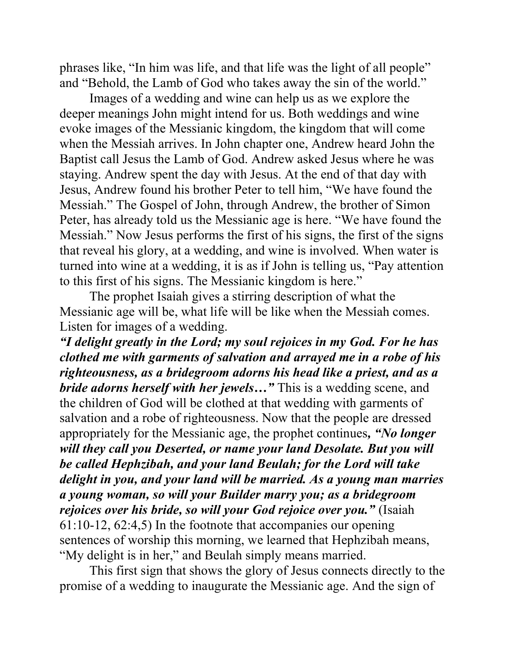phrases like, "In him was life, and that life was the light of all people" and "Behold, the Lamb of God who takes away the sin of the world."

 Images of a wedding and wine can help us as we explore the deeper meanings John might intend for us. Both weddings and wine evoke images of the Messianic kingdom, the kingdom that will come when the Messiah arrives. In John chapter one, Andrew heard John the Baptist call Jesus the Lamb of God. Andrew asked Jesus where he was staying. Andrew spent the day with Jesus. At the end of that day with Jesus, Andrew found his brother Peter to tell him, "We have found the Messiah." The Gospel of John, through Andrew, the brother of Simon Peter, has already told us the Messianic age is here. "We have found the Messiah." Now Jesus performs the first of his signs, the first of the signs that reveal his glory, at a wedding, and wine is involved. When water is turned into wine at a wedding, it is as if John is telling us, "Pay attention to this first of his signs. The Messianic kingdom is here."

 The prophet Isaiah gives a stirring description of what the Messianic age will be, what life will be like when the Messiah comes. Listen for images of a wedding.

"I delight greatly in the Lord; my soul rejoices in my God. For he has clothed me with garments of salvation and arrayed me in a robe of his righteousness, as a bridegroom adorns his head like a priest, and as a bride adorns herself with her jewels..." This is a wedding scene, and the children of God will be clothed at that wedding with garments of salvation and a robe of righteousness. Now that the people are dressed appropriately for the Messianic age, the prophet continues, "No longer will they call you Deserted, or name your land Desolate. But you will be called Hephzibah, and your land Beulah; for the Lord will take delight in you, and your land will be married. As a young man marries a young woman, so will your Builder marry you; as a bridegroom rejoices over his bride, so will your God rejoice over you." (Isaiah 61:10-12, 62:4,5) In the footnote that accompanies our opening sentences of worship this morning, we learned that Hephzibah means, "My delight is in her," and Beulah simply means married.

 This first sign that shows the glory of Jesus connects directly to the promise of a wedding to inaugurate the Messianic age. And the sign of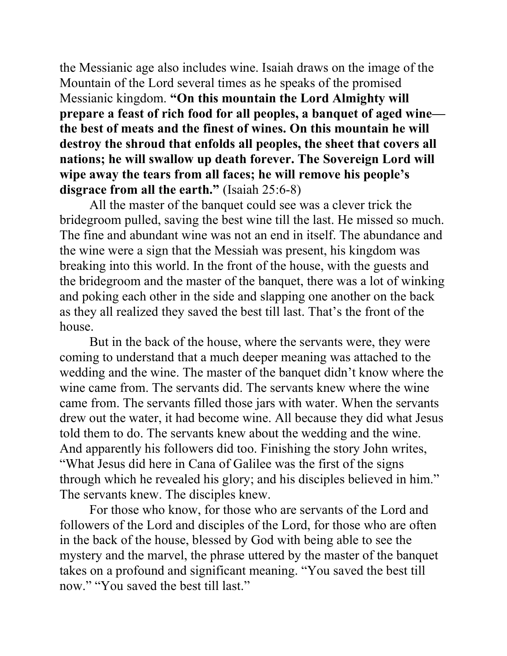the Messianic age also includes wine. Isaiah draws on the image of the Mountain of the Lord several times as he speaks of the promised Messianic kingdom. "On this mountain the Lord Almighty will prepare a feast of rich food for all peoples, a banquet of aged wine the best of meats and the finest of wines. On this mountain he will destroy the shroud that enfolds all peoples, the sheet that covers all nations; he will swallow up death forever. The Sovereign Lord will wipe away the tears from all faces; he will remove his people's disgrace from all the earth." (Isaiah 25:6-8)

 All the master of the banquet could see was a clever trick the bridegroom pulled, saving the best wine till the last. He missed so much. The fine and abundant wine was not an end in itself. The abundance and the wine were a sign that the Messiah was present, his kingdom was breaking into this world. In the front of the house, with the guests and the bridegroom and the master of the banquet, there was a lot of winking and poking each other in the side and slapping one another on the back as they all realized they saved the best till last. That's the front of the house.

 But in the back of the house, where the servants were, they were coming to understand that a much deeper meaning was attached to the wedding and the wine. The master of the banquet didn't know where the wine came from. The servants did. The servants knew where the wine came from. The servants filled those jars with water. When the servants drew out the water, it had become wine. All because they did what Jesus told them to do. The servants knew about the wedding and the wine. And apparently his followers did too. Finishing the story John writes, "What Jesus did here in Cana of Galilee was the first of the signs through which he revealed his glory; and his disciples believed in him." The servants knew. The disciples knew.

 For those who know, for those who are servants of the Lord and followers of the Lord and disciples of the Lord, for those who are often in the back of the house, blessed by God with being able to see the mystery and the marvel, the phrase uttered by the master of the banquet takes on a profound and significant meaning. "You saved the best till now." "You saved the best till last."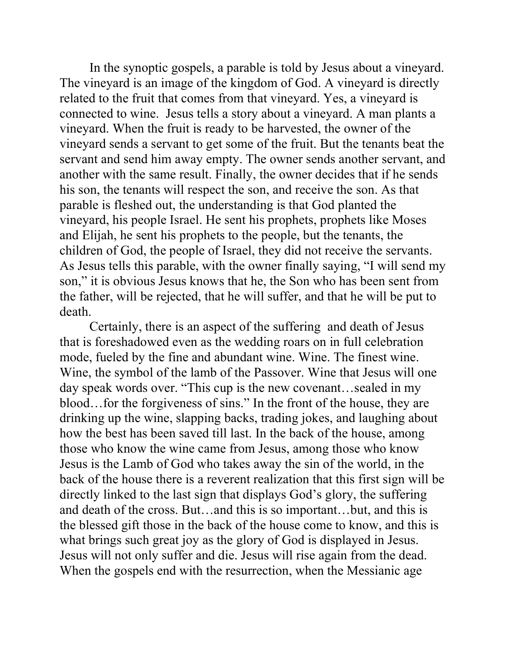In the synoptic gospels, a parable is told by Jesus about a vineyard. The vineyard is an image of the kingdom of God. A vineyard is directly related to the fruit that comes from that vineyard. Yes, a vineyard is connected to wine. Jesus tells a story about a vineyard. A man plants a vineyard. When the fruit is ready to be harvested, the owner of the vineyard sends a servant to get some of the fruit. But the tenants beat the servant and send him away empty. The owner sends another servant, and another with the same result. Finally, the owner decides that if he sends his son, the tenants will respect the son, and receive the son. As that parable is fleshed out, the understanding is that God planted the vineyard, his people Israel. He sent his prophets, prophets like Moses and Elijah, he sent his prophets to the people, but the tenants, the children of God, the people of Israel, they did not receive the servants. As Jesus tells this parable, with the owner finally saying, "I will send my son," it is obvious Jesus knows that he, the Son who has been sent from the father, will be rejected, that he will suffer, and that he will be put to death.

 Certainly, there is an aspect of the suffering and death of Jesus that is foreshadowed even as the wedding roars on in full celebration mode, fueled by the fine and abundant wine. Wine. The finest wine. Wine, the symbol of the lamb of the Passover. Wine that Jesus will one day speak words over. "This cup is the new covenant…sealed in my blood…for the forgiveness of sins." In the front of the house, they are drinking up the wine, slapping backs, trading jokes, and laughing about how the best has been saved till last. In the back of the house, among those who know the wine came from Jesus, among those who know Jesus is the Lamb of God who takes away the sin of the world, in the back of the house there is a reverent realization that this first sign will be directly linked to the last sign that displays God's glory, the suffering and death of the cross. But…and this is so important…but, and this is the blessed gift those in the back of the house come to know, and this is what brings such great joy as the glory of God is displayed in Jesus. Jesus will not only suffer and die. Jesus will rise again from the dead. When the gospels end with the resurrection, when the Messianic age